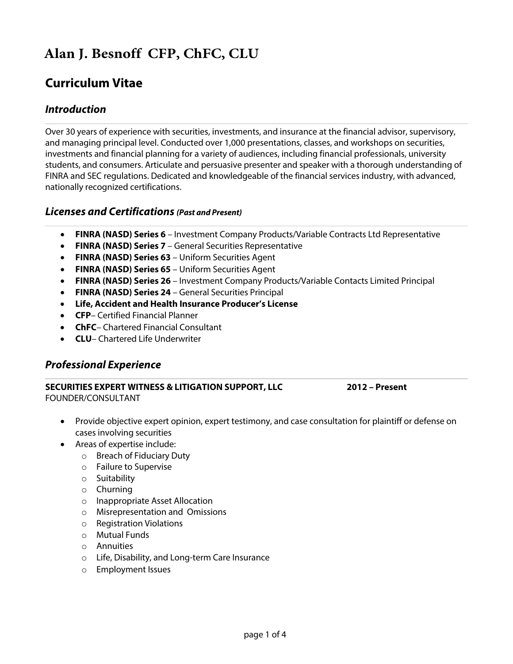# **Alan J. Besnoff CFP, ChFC, CLU**

# **Curriculum Vitae**

## *Introduction*

Over 30 years of experience with securities, investments, and insurance at the financial advisor, supervisory, and managing principal level. Conducted over 1,000 presentations, classes, and workshops on securities, investments and financial planning for a variety of audiences, including financial professionals, university students, and consumers. Articulate and persuasive presenter and speaker with a thorough understanding of FINRA and SEC regulations. Dedicated and knowledgeable of the financial services industry, with advanced, nationally recognized certifications.

### *Licenses and Certifications (Past and Present)*

- **FINRA (NASD) Series 6** Investment Company Products/Variable Contracts Ltd Representative
- **FINRA (NASD) Series 7** General Securities Representative
- **FINRA (NASD) Series 63** Uniform Securities Agent
- **FINRA (NASD) Series 65** Uniform Securities Agent
- **FINRA (NASD) Series 26** Investment Company Products/Variable Contacts Limited Principal
- **FINRA (NASD) Series 24** General Securities Principal
- **Life, Accident and Health Insurance Producer's License**
- **CFP** Certified Financial Planner
- **ChFC** Chartered Financial Consultant
- **CLU** Chartered Life Underwriter

### *Professional Experience*

#### **SECURITIES EXPERT WITNESS & LITIGATION SUPPORT, LLC 2012 – Present** FOUNDER/CONSULTANT

- Provide objective expert opinion, expert testimony, and case consultation for plaintiff or defense on cases involving securities
- Areas of expertise include:
	- o Breach of Fiduciary Duty
	- o Failure to Supervise
	- o Suitability
	- o Churning
	- o Inappropriate Asset Allocation
	- o Misrepresentation and Omissions
	- o Registration Violations
	- o Mutual Funds
	- o Annuities
	- o Life, Disability, and Long-term Care Insurance
	- o Employment Issues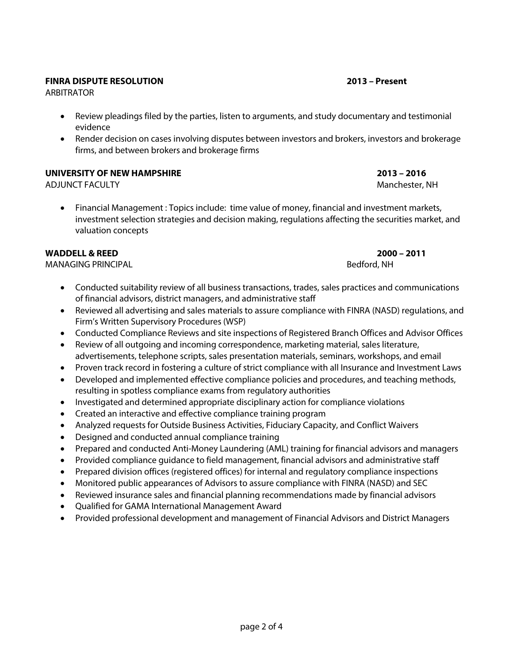#### **FINRA DISPUTE RESOLUTION 2013 – Present**

ARBITRATOR

- Review pleadings filed by the parties, listen to arguments, and study documentary and testimonial evidence
- Render decision on cases involving disputes between investors and brokers, investors and brokerage firms, and between brokers and brokerage firms

#### **UNIVERSITY OF NEW HAMPSHIRE 2013 – 2016**

ADJUNCT FACULTY AND THE SERVICE OF THE SERVICE OF THE SERVICE OF THE MANUSCRIPTION OF THE MANUSCRIPTION OF THE MANUSCRIPTION OF THE MANUSCRIPTION OF THE MANUSCRIPTION OF THE MANUSCRIPTION OF THE MANUSCRIPTION OF THE MANUSC

• Financial Management : Topics include: time value of money, financial and investment markets, investment selection strategies and decision making, regulations affecting the securities market, and valuation concepts

#### **WADDELL & REED 2000 – 2011**

MANAGING PRINCIPAL **Bedford, NH** 

- Conducted suitability review of all business transactions, trades, sales practices and communications of financial advisors, district managers, and administrative staff
- Reviewed all advertising and sales materials to assure compliance with FINRA (NASD) regulations, and Firm's Written Supervisory Procedures (WSP)
- Conducted Compliance Reviews and site inspections of Registered Branch Offices and Advisor Offices
- Review of all outgoing and incoming correspondence, marketing material, sales literature, advertisements, telephone scripts, sales presentation materials, seminars, workshops, and email
- Proven track record in fostering a culture of strict compliance with all Insurance and Investment Laws
- Developed and implemented effective compliance policies and procedures, and teaching methods, resulting in spotless compliance exams from regulatory authorities
- Investigated and determined appropriate disciplinary action for compliance violations
- Created an interactive and effective compliance training program
- Analyzed requests for Outside Business Activities, Fiduciary Capacity, and Conflict Waivers
- Designed and conducted annual compliance training
- Prepared and conducted Anti-Money Laundering (AML) training for financial advisors and managers
- Provided compliance guidance to field management, financial advisors and administrative staff
- Prepared division offices (registered offices) for internal and regulatory compliance inspections
- Monitored public appearances of Advisors to assure compliance with FINRA (NASD) and SEC
- Reviewed insurance sales and financial planning recommendations made by financial advisors
- Qualified for GAMA International Management Award
- Provided professional development and management of Financial Advisors and District Managers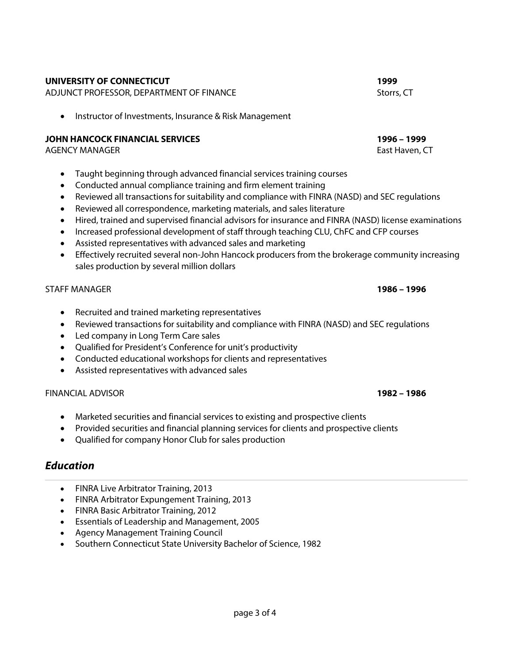#### page 3 of 4

#### **UNIVERSITY OF CONNECTICUT 1999**

ADJUNCT PROFESSOR, DEPARTMENT OF FINANCE STORES STORES STORES STORES STORES STORES

• Instructor of Investments, Insurance & Risk Management

#### **JOHN HANCOCK FINANCIAL SERVICES 1996 – 1999**

AGENCY MANAGER EAST HAVEN, THE SERVICE OF THE SERVICE OF THE SERVICE OF THE SERVICE OF THE SERVICE OF THE SERVICE OF THE SERVICE OF THE SERVICE OF THE SERVICE OF THE SERVICE OF THE SERVICE OF THE SERVICE OF THE SERVICE OF

- Taught beginning through advanced financial services training courses
- Conducted annual compliance training and firm element training
- Reviewed all transactions for suitability and compliance with FINRA (NASD) and SEC regulations
- Reviewed all correspondence, marketing materials, and sales literature
- Hired, trained and supervised financial advisors for insurance and FINRA (NASD) license examinations
- Increased professional development of staff through teaching CLU, ChFC and CFP courses
- Assisted representatives with advanced sales and marketing
- Effectively recruited several non-John Hancock producers from the brokerage community increasing sales production by several million dollars

#### STAFF MANAGER **1986 – 1996**

- Recruited and trained marketing representatives
- Reviewed transactions for suitability and compliance with FINRA (NASD) and SEC regulations
- Led company in Long Term Care sales
- Qualified for President's Conference for unit's productivity
- Conducted educational workshops for clients and representatives
- Assisted representatives with advanced sales

#### FINANCIAL ADVISOR **1982 – 1986**

- Marketed securities and financial services to existing and prospective clients
- Provided securities and financial planning services for clients and prospective clients
- Qualified for company Honor Club for sales production

### *Education*

- FINRA Live Arbitrator Training, 2013
- FINRA Arbitrator Expungement Training, 2013
- FINRA Basic Arbitrator Training, 2012
- Essentials of Leadership and Management, 2005
- Agency Management Training Council
- Southern Connecticut State University Bachelor of Science, 1982